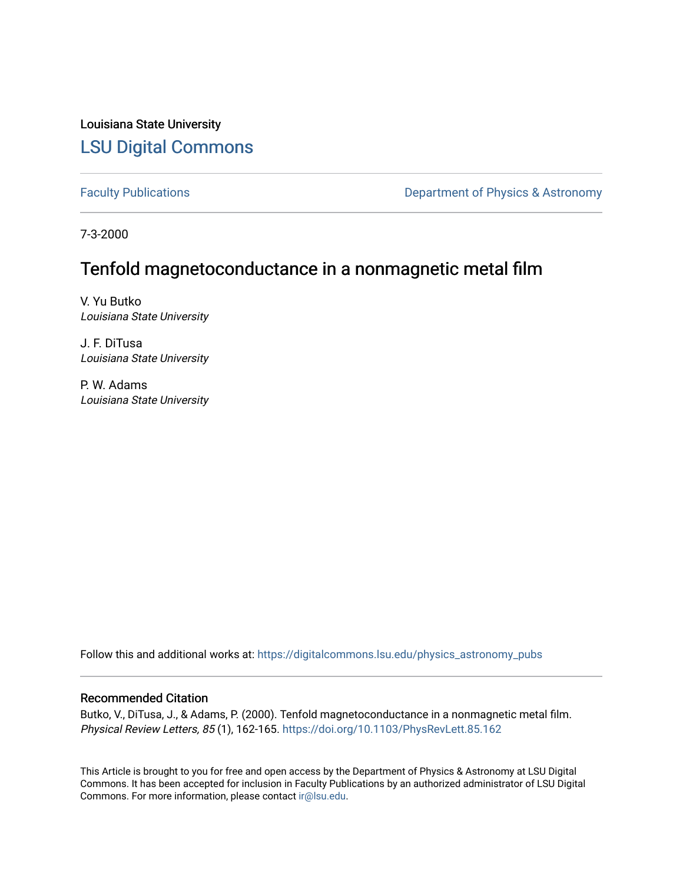Louisiana State University [LSU Digital Commons](https://digitalcommons.lsu.edu/)

[Faculty Publications](https://digitalcommons.lsu.edu/physics_astronomy_pubs) **Exercise 2 and Table 2 and Table 2 and Table 2 and Table 2 and Table 2 and Table 2 and Table 2 and Table 2 and Table 2 and Table 2 and Table 2 and Table 2 and Table 2 and Table 2 and Table 2 and Table** 

7-3-2000

## Tenfold magnetoconductance in a nonmagnetic metal film

V. Yu Butko Louisiana State University

J. F. DiTusa Louisiana State University

P. W. Adams Louisiana State University

Follow this and additional works at: [https://digitalcommons.lsu.edu/physics\\_astronomy\\_pubs](https://digitalcommons.lsu.edu/physics_astronomy_pubs?utm_source=digitalcommons.lsu.edu%2Fphysics_astronomy_pubs%2F111&utm_medium=PDF&utm_campaign=PDFCoverPages) 

## Recommended Citation

Butko, V., DiTusa, J., & Adams, P. (2000). Tenfold magnetoconductance in a nonmagnetic metal film. Physical Review Letters, 85 (1), 162-165.<https://doi.org/10.1103/PhysRevLett.85.162>

This Article is brought to you for free and open access by the Department of Physics & Astronomy at LSU Digital Commons. It has been accepted for inclusion in Faculty Publications by an authorized administrator of LSU Digital Commons. For more information, please contact [ir@lsu.edu](mailto:ir@lsu.edu).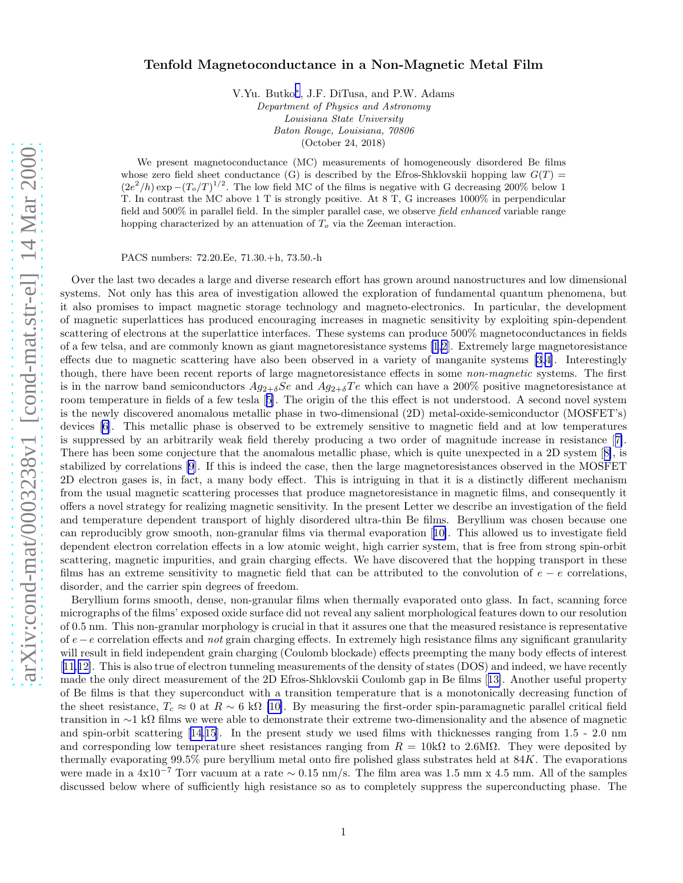## Tenfold Magnetoconductance in a Non-Magnetic Metal Film

V.Yu. Butko[∗](#page-3-0) , J.F. DiTusa, and P.W. Adams

Department of Physics and Astronomy Louisiana State University Baton Rouge, Louisiana, 70806

(October 24, 2018)

We present magnetoconductance (MC) measurements of homogeneously disordered Be films whose zero field sheet conductance (G) is described by the Efros-Shklovskii hopping law  $G(T)$  =  $(2e^2/h) \exp(- (T_o/T)^{1/2})$ . The low field MC of the films is negative with G decreasing 200% below 1 T. In contrast the MC above 1 T is strongly positive. At 8 T, G increases 1000% in perpendicular field and 500% in parallel field. In the simpler parallel case, we observe field enhanced variable range hopping characterized by an attenuation of  $T<sub>o</sub>$  via the Zeeman interaction.

PACS numbers: 72.20.Ee, 71.30.+h, 73.50.-h

Over the last two decades a large and diverse research effort has grown around nanostructures and low dimensional systems. Not only has this area of investigation allowed the exploration of fundamental quantum phenomena, but it also promises to impact magnetic storage technology and magneto-electronics. In particular, the development of magnetic superlattices has produced encouraging increases in magnetic sensitivity by exploiting spin-dependent scattering of electrons at the superlattice interfaces. These systems can produce 500% magnetoconductances in fields of a few telsa, and are commonly known as giant magnetoresistance systems [\[1,2](#page-3-0)]. Extremely large magnetoresistance effects due to magnetic scattering have also been observed in a variety of manganite systems [\[3,4](#page-3-0)]. Interestingly though, there have been recent reports of large magnetoresistance effects in some non-magnetic systems. The first is in the narrow band semiconductors  $Ag_{2+\delta}Se$  and  $Ag_{2+\delta}Te$  which can have a 200% positive magnetoresistance at room temperature in fields of a few tesla[[5\]](#page-3-0). The origin of the this effect is not understood. A second novel system is the newly discovered anomalous metallic phase in two-dimensional (2D) metal-oxide-semiconductor (MOSFET's) devices [\[6](#page-3-0)]. This metallic phase is observed to be extremely sensitive to magnetic field and at low temperatures is suppressed by an arbitrarily weak field thereby producing a two order of magnitude increase in resistance[[7\]](#page-3-0). There has been some conjecture that the anomalous metallic phase, which is quite unexpected in a 2D system[[8\]](#page-4-0), is stabilized by correlations [\[9](#page-4-0)]. If this is indeed the case, then the large magnetoresistances observed in the MOSFET 2D electron gases is, in fact, a many body effect. This is intriguing in that it is a distinctly different mechanism from the usual magnetic scattering processes that produce magnetoresistance in magnetic films, and consequently it offers a novel strategy for realizing magnetic sensitivity. In the present Letter we describe an investigation of the field and temperature dependent transport of highly disordered ultra-thin Be films. Beryllium was chosen because one can reproducibly grow smooth, non-granular films via thermal evaporation[[10\]](#page-4-0). This allowed us to investigate field dependent electron correlation effects in a low atomic weight, high carrier system, that is free from strong spin-orbit scattering, magnetic impurities, and grain charging effects. We have discovered that the hopping transport in these films has an extreme sensitivity to magnetic field that can be attributed to the convolution of  $e - e$  correlations, disorder, and the carrier spin degrees of freedom.

Beryllium forms smooth, dense, non-granular films when thermally evaporated onto glass. In fact, scanning force micrographs of the films' exposed oxide surface did not reveal any salient morphological features down to our resolution of 0.5 nm. This non-granular morphology is crucial in that it assures one that the measured resistance is representative of  $e-e$  correlation effects and not grain charging effects. In extremely high resistance films any significant granularity will result in field independent grain charging (Coulomb blockade) effects preempting the many body effects of interest [[11,12\]](#page-4-0). This is also true of electron tunneling measurements of the density of states (DOS) and indeed, we have recently made the only direct measurement of the 2D Efros-Shklovskii Coulomb gap in Be films[[13\]](#page-4-0). Another useful property of Be films is that they superconduct with a transition temperature that is a monotonically decreasing function of the sheet resistance,  $T_c \approx 0$  at  $R \sim 6$  k $\Omega$  [\[10\]](#page-4-0). By measuring the first-order spin-paramagnetic parallel critical field transition in ∼1 kΩ films we were able to demonstrate their extreme two-dimensionality and the absence of magnetic and spin-orbit scattering[[14](#page-4-0),[15\]](#page-4-0). In the present study we used films with thicknesses ranging from 1.5 - 2.0 nm and corresponding low temperature sheet resistances ranging from  $R = 10k\Omega$  to 2.6M $\Omega$ . They were deposited by thermally evaporating  $99.5\%$  pure beryllium metal onto fire polished glass substrates held at  $84K$ . The evaporations were made in a 4x10<sup>−</sup><sup>7</sup> Torr vacuum at a rate <sup>∼</sup> <sup>0</sup>.15 nm/s. The film area was 1.5 mm x 4.5 mm. All of the samples discussed below where of sufficiently high resistance so as to completely suppress the superconducting phase. The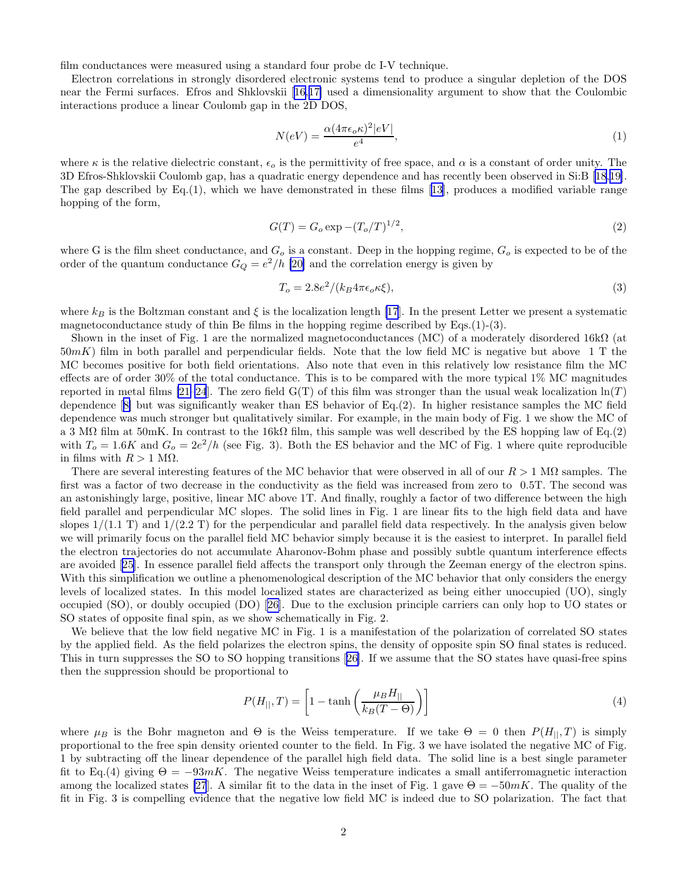film conductances were measured using a standard four probe dc I-V technique.

Electron correlations in strongly disordered electronic systems tend to produce a singular depletion of the DOS near the Fermi surfaces. Efros and Shklovskii[[16,17\]](#page-4-0) used a dimensionality argument to show that the Coulombic interactions produce a linear Coulomb gap in the 2D DOS,

$$
N(eV) = \frac{\alpha (4\pi\epsilon_o \kappa)^2 |eV|}{e^4},\tag{1}
$$

where  $\kappa$  is the relative dielectric constant,  $\epsilon_o$  is the permittivity of free space, and  $\alpha$  is a constant of order unity. The 3D Efros-Shklovskii Coulomb gap, has a quadratic energy dependence and has recently been observed in Si:B[[18,19\]](#page-4-0). The gap described by Eq.(1), which we have demonstrated in these films[[13](#page-4-0)], produces a modified variable range hopping of the form,

$$
G(T) = G_o \exp\left(-\frac{(T_o/T)^{1/2}}{T_c}\right),\tag{2}
$$

where G is the film sheet conductance, and  $G_o$  is a constant. Deep in the hopping regime,  $G_o$  is expected to be of the order of the quantum conductance  $G_Q = e^2/h$  [\[20\]](#page-4-0) and the correlation energy is given by

$$
T_o = 2.8e^2/(k_B 4\pi\epsilon_o \kappa \xi),\tag{3}
$$

where  $k_B$  is the Boltzman constant and  $\xi$  is the localization length [\[17](#page-4-0)]. In the present Letter we present a systematic magnetoconductance study of thin Be films in the hopping regime described by Eqs. $(1)-(3)$ .

Shown in the inset of Fig. 1 are the normalized magnetoconductances (MC) of a moderately disordered 16kΩ (at  $50mK$ ) film in both parallel and perpendicular fields. Note that the low field MC is negative but above 1 T the MC becomes positive for both field orientations. Also note that even in this relatively low resistance film the MC effects are of order 30% of the total conductance. This is to be compared with the more typical 1% MC magnitudes reported in metal films [\[21–24](#page-4-0)]. The zero field  $G(T)$  of this film was stronger than the usual weak localization  $\ln(T)$ dependence[[8\]](#page-4-0) but was significantly weaker than ES behavior of Eq.(2). In higher resistance samples the MC field dependence was much stronger but qualitatively similar. For example, in the main body of Fig. 1 we show the MC of a 3 M $\Omega$  film at 50mK. In contrast to the 16k $\Omega$  film, this sample was well described by the ES hopping law of Eq.(2) with  $T_o = 1.6K$  and  $G_o = 2e^2/h$  (see Fig. 3). Both the ES behavior and the MC of Fig. 1 where quite reproducible in films with  $R > 1$  M $\Omega$ .

There are several interesting features of the MC behavior that were observed in all of our  $R > 1$  M $\Omega$  samples. The first was a factor of two decrease in the conductivity as the field was increased from zero to 0.5T. The second was an astonishingly large, positive, linear MC above 1T. And finally, roughly a factor of two difference between the high field parallel and perpendicular MC slopes. The solid lines in Fig. 1 are linear fits to the high field data and have slopes  $1/(1.1 \text{ T})$  and  $1/(2.2 \text{ T})$  for the perpendicular and parallel field data respectively. In the analysis given below we will primarily focus on the parallel field MC behavior simply because it is the easiest to interpret. In parallel field the electron trajectories do not accumulate Aharonov-Bohm phase and possibly subtle quantum interference effects are avoided[[25\]](#page-4-0). In essence parallel field affects the transport only through the Zeeman energy of the electron spins. With this simplification we outline a phenomenological description of the MC behavior that only considers the energy levels of localized states. In this model localized states are characterized as being either unoccupied (UO), singly occupied (SO), or doubly occupied (DO)[[26\]](#page-4-0). Due to the exclusion principle carriers can only hop to UO states or SO states of opposite final spin, as we show schematically in Fig. 2.

We believe that the low field negative MC in Fig. 1 is a manifestation of the polarization of correlated SO states by the applied field. As the field polarizes the electron spins, the density of opposite spin SO final states is reduced. This in turn suppresses the SO to SO hopping transitions[[26\]](#page-4-0). If we assume that the SO states have quasi-free spins then the suppression should be proportional to

$$
P(H_{||},T) = \left[1 - \tanh\left(\frac{\mu_B H_{||}}{k_B(T - \Theta)}\right)\right]
$$
\n(4)

where  $\mu_B$  is the Bohr magneton and  $\Theta$  is the Weiss temperature. If we take  $\Theta = 0$  then  $P(H_{||}, T)$  is simply proportional to the free spin density oriented counter to the field. In Fig. 3 we have isolated the negative MC of Fig. 1 by subtracting off the linear dependence of the parallel high field data. The solid line is a best single parameter fit to Eq.(4) giving  $\Theta = -93mK$ . The negative Weiss temperature indicates a small antiferromagnetic interaction among the localized states [\[27](#page-4-0)]. A similar fit to the data in the inset of Fig. 1 gave  $\Theta = -50mK$ . The quality of the fit in Fig. 3 is compelling evidence that the negative low field MC is indeed due to SO polarization. The fact that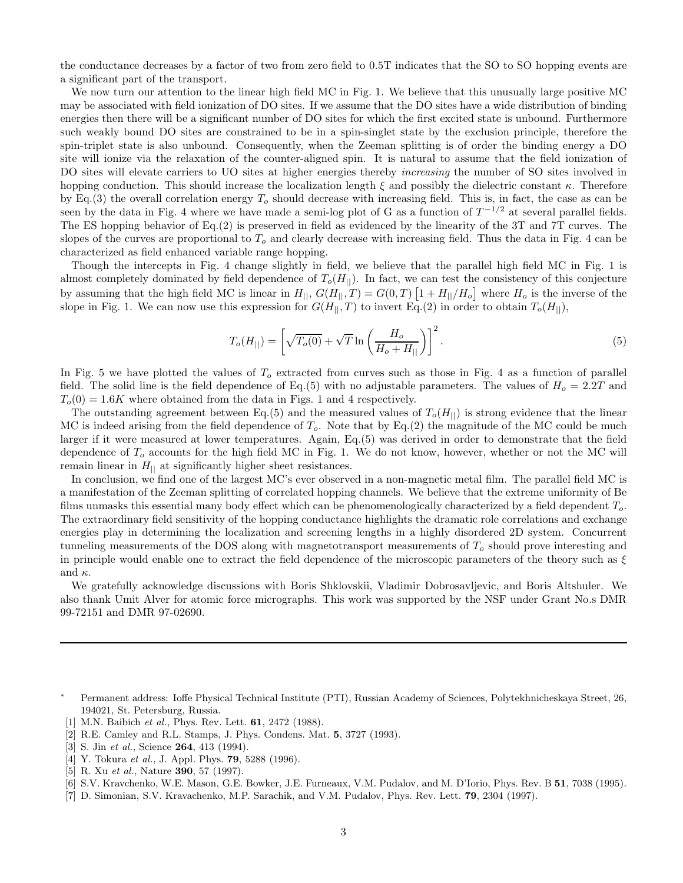<span id="page-3-0"></span>the conductance decreases by a factor of two from zero field to 0.5T indicates that the SO to SO hopping events are a significant part of the transport.

We now turn our attention to the linear high field MC in Fig. 1. We believe that this unusually large positive MC may be associated with field ionization of DO sites. If we assume that the DO sites have a wide distribution of binding energies then there will be a significant number of DO sites for which the first excited state is unbound. Furthermore such weakly bound DO sites are constrained to be in a spin-singlet state by the exclusion principle, therefore the spin-triplet state is also unbound. Consequently, when the Zeeman splitting is of order the binding energy a DO site will ionize via the relaxation of the counter-aligned spin. It is natural to assume that the field ionization of DO sites will elevate carriers to UO sites at higher energies thereby *increasing* the number of SO sites involved in hopping conduction. This should increase the localization length  $\xi$  and possibly the dielectric constant  $\kappa$ . Therefore by Eq.(3) the overall correlation energy  $T<sub>o</sub>$  should decrease with increasing field. This is, in fact, the case as can be seen by the data in Fig. 4 where we have made a semi-log plot of G as a function of  $T^{-1/2}$  at several parallel fields. The ES hopping behavior of Eq.(2) is preserved in field as evidenced by the linearity of the 3T and 7T curves. The slopes of the curves are proportional to  $T<sub>o</sub>$  and clearly decrease with increasing field. Thus the data in Fig. 4 can be characterized as field enhanced variable range hopping.

Though the intercepts in Fig. 4 change slightly in field, we believe that the parallel high field MC in Fig. 1 is almost completely dominated by field dependence of  $T<sub>o</sub>(H<sub>||</sub>)$ . In fact, we can test the consistency of this conjecture by assuming that the high field MC is linear in  $H_{||}$ ,  $G(H_{||}, T) = G(0, T) [1 + H_{||}/H_o]$  where  $H_o$  is the inverse of the slope in Fig. 1. We can now use this expression for  $G(H_{||}, T)$  to invert Eq.(2) in order to obtain  $T_o(H_{||})$ ,

$$
T_o(H_{||}) = \left[\sqrt{T_o(0)} + \sqrt{T}\ln\left(\frac{H_o}{H_o + H_{||}}\right)\right]^2.
$$
\n<sup>(5)</sup>

In Fig. 5 we have plotted the values of  $T<sub>o</sub>$  extracted from curves such as those in Fig. 4 as a function of parallel field. The solid line is the field dependence of Eq.(5) with no adjustable parameters. The values of  $H_0 = 2.2T$  and  $T<sub>o</sub>(0) = 1.6K$  where obtained from the data in Figs. 1 and 4 respectively.

The outstanding agreement between Eq.(5) and the measured values of  $T_o(H_{||})$  is strong evidence that the linear MC is indeed arising from the field dependence of  $T<sub>o</sub>$ . Note that by Eq.(2) the magnitude of the MC could be much larger if it were measured at lower temperatures. Again, Eq.(5) was derived in order to demonstrate that the field dependence of  $T<sub>o</sub>$  accounts for the high field MC in Fig. 1. We do not know, however, whether or not the MC will remain linear in  $H_{\parallel}$  at significantly higher sheet resistances.

In conclusion, we find one of the largest MC's ever observed in a non-magnetic metal film. The parallel field MC is a manifestation of the Zeeman splitting of correlated hopping channels. We believe that the extreme uniformity of Be films unmasks this essential many body effect which can be phenomenologically characterized by a field dependent To. The extraordinary field sensitivity of the hopping conductance highlights the dramatic role correlations and exchange energies play in determining the localization and screening lengths in a highly disordered 2D system. Concurrent tunneling measurements of the DOS along with magnetotransport measurements of  $T<sub>o</sub>$  should prove interesting and in principle would enable one to extract the field dependence of the microscopic parameters of the theory such as  $\xi$ and  $\kappa$ .

We gratefully acknowledge discussions with Boris Shklovskii, Vladimir Dobrosavljevic, and Boris Altshuler. We also thank Umit Alver for atomic force micrographs. This work was supported by the NSF under Grant No.s DMR 99-72151 and DMR 97-02690.

[2] R.E. Camley and R.L. Stamps, J. Phys. Condens. Mat. 5, 3727 (1993).

[7] D. Simonian, S.V. Kravachenko, M.P. Sarachik, and V.M. Pudalov, Phys. Rev. Lett. 79, 2304 (1997).

<sup>∗</sup> Permanent address: Ioffe Physical Technical Institute (PTI), Russian Academy of Sciences, Polytekhnicheskaya Street, 26, 194021, St. Petersburg, Russia.

<sup>[1]</sup> M.N. Baibich et al., Phys. Rev. Lett. **61**, 2472 (1988).

<sup>[3]</sup> S. Jin et al., Science **264**, 413 (1994).

<sup>[4]</sup> Y. Tokura et al., J. Appl. Phys. **79**, 5288 (1996).

<sup>[5]</sup> R. Xu et al., Nature **390**, 57 (1997).

<sup>[6]</sup> S.V. Kravchenko, W.E. Mason, G.E. Bowker, J.E. Furneaux, V.M. Pudalov, and M. D'Iorio, Phys. Rev. B 51, 7038 (1995).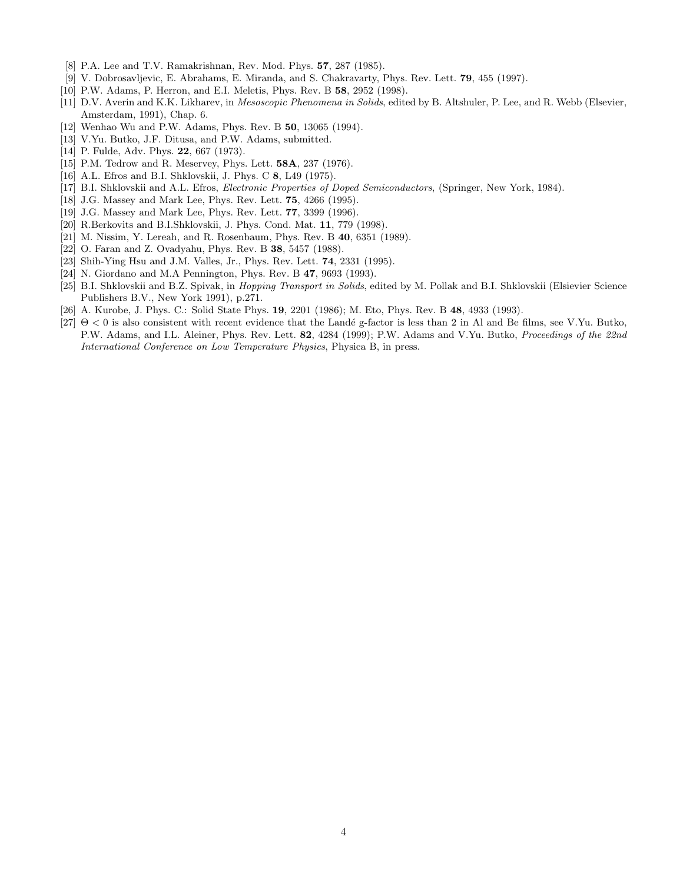- <span id="page-4-0"></span>[8] P.A. Lee and T.V. Ramakrishnan, Rev. Mod. Phys. 57, 287 (1985).
- [9] V. Dobrosavljevic, E. Abrahams, E. Miranda, and S. Chakravarty, Phys. Rev. Lett. 79, 455 (1997).
- [10] P.W. Adams, P. Herron, and E.I. Meletis, Phys. Rev. B 58, 2952 (1998).
- [11] D.V. Averin and K.K. Likharev, in Mesoscopic Phenomena in Solids, edited by B. Altshuler, P. Lee, and R. Webb (Elsevier, Amsterdam, 1991), Chap. 6.
- [12] Wenhao Wu and P.W. Adams, Phys. Rev. B 50, 13065 (1994).
- [13] V.Yu. Butko, J.F. Ditusa, and P.W. Adams, submitted.
- [14] P. Fulde, Adv. Phys. **22**, 667 (1973).
- [15] P.M. Tedrow and R. Meservey, Phys. Lett. **58A**, 237 (1976).
- [16] A.L. Efros and B.I. Shklovskii, J. Phys. C 8, L49 (1975).
- [17] B.I. Shklovskii and A.L. Efros, Electronic Properties of Doped Semiconductors, (Springer, New York, 1984).
- [18] J.G. Massey and Mark Lee, Phys. Rev. Lett. 75, 4266 (1995).
- [19] J.G. Massey and Mark Lee, Phys. Rev. Lett. 77, 3399 (1996).
- [20] R.Berkovits and B.I.Shklovskii, J. Phys. Cond. Mat. 11, 779 (1998).
- [21] M. Nissim, Y. Lereah, and R. Rosenbaum, Phys. Rev. B 40, 6351 (1989).
- [22] O. Faran and Z. Ovadyahu, Phys. Rev. B 38, 5457 (1988).
- [23] Shih-Ying Hsu and J.M. Valles, Jr., Phys. Rev. Lett. 74, 2331 (1995).
- [24] N. Giordano and M.A Pennington, Phys. Rev. B 47, 9693 (1993).
- [25] B.I. Shklovskii and B.Z. Spivak, in *Hopping Transport in Solids*, edited by M. Pollak and B.I. Shklovskii (Elsievier Science Publishers B.V., New York 1991), p.271.
- [26] A. Kurobe, J. Phys. C.: Solid State Phys. 19, 2201 (1986); M. Eto, Phys. Rev. B 48, 4933 (1993).
- [27]  $\Theta$  < 0 is also consistent with recent evidence that the Landé g-factor is less than 2 in Al and Be films, see V.Yu. Butko, P.W. Adams, and I.L. Aleiner, Phys. Rev. Lett. 82, 4284 (1999); P.W. Adams and V.Yu. Butko, Proceedings of the 22nd International Conference on Low Temperature Physics, Physica B, in press.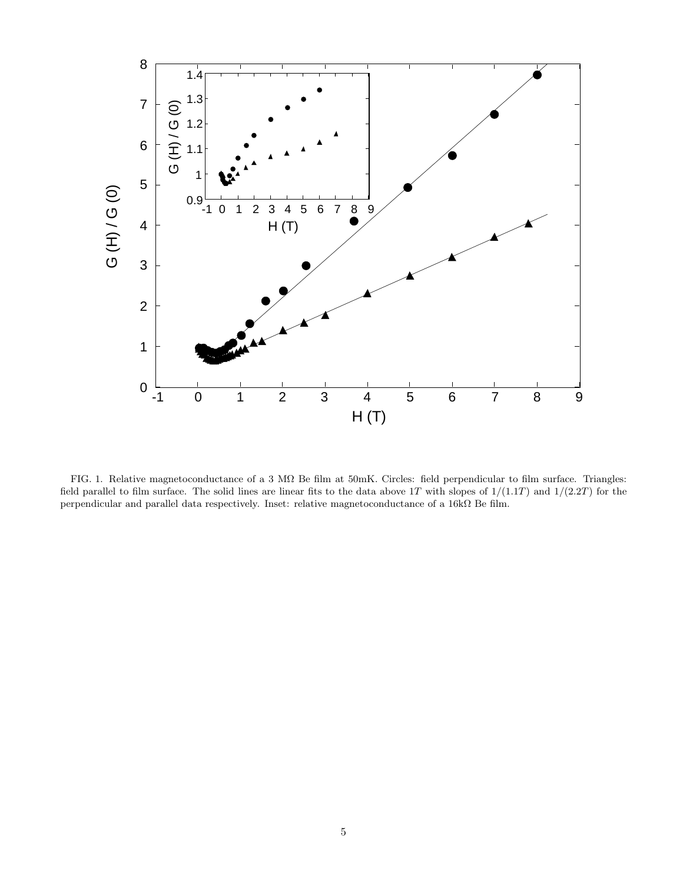

FIG. 1. Relative magnetoconductance of a 3 MΩ Be film at 50mK. Circles: field perpendicular to film surface. Triangles: field parallel to film surface. The solid lines are linear fits to the data above 1T with slopes of  $1/(1.1T)$  and  $1/(2.2T)$  for the perpendicular and parallel data respectively. Inset: relative magnetoconductance of a 16kΩ Be film.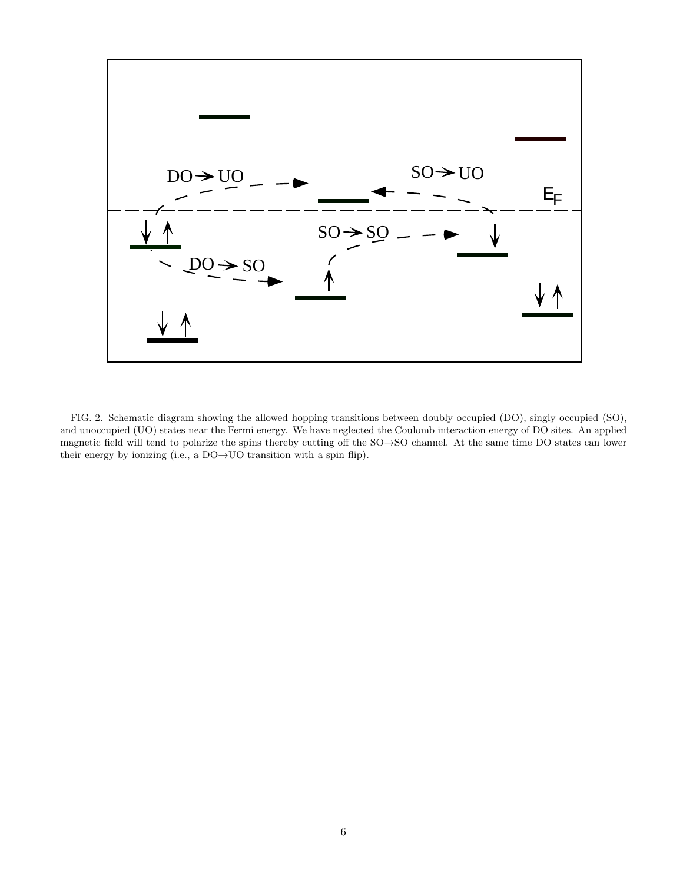

FIG. 2. Schematic diagram showing the allowed hopping transitions between doubly occupied (DO), singly occupied (SO), and unoccupied (UO) states near the Fermi energy. We have neglected the Coulomb interaction energy of DO sites. An applied magnetic field will tend to polarize the spins thereby cutting off the SO→SO channel. At the same time DO states can lower their energy by ionizing (i.e., a  $DO\rightarrow UO$  transition with a spin flip).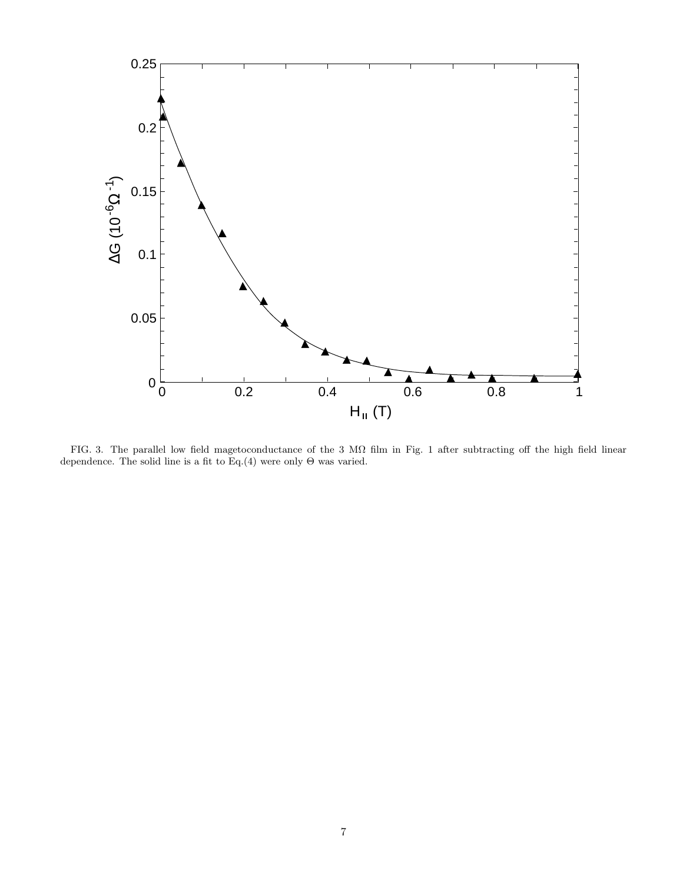

FIG. 3. The parallel low field magetoconductance of the 3 MΩ film in Fig. 1 after subtracting off the high field linear dependence. The solid line is a fit to Eq.(4) were only  $\Theta$  was varied.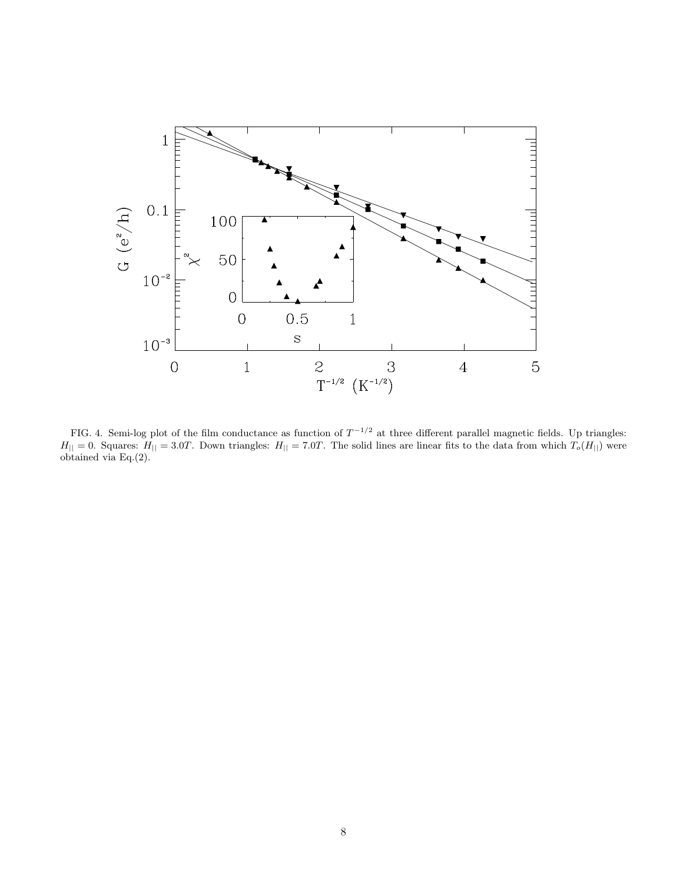

FIG. 4. Semi-log plot of the film conductance as function of  $T^{-1/2}$  at three different parallel magnetic fields. Up triangles:  $H_{\parallel} = 0$ . Squares:  $H_{\parallel} = 3.0T$ . Down triangles:  $H_{\parallel} = 7.0T$ . The solid lines are linear fits to the data from which  $T_o(H_{\parallel})$  were obtained via Eq.(2).